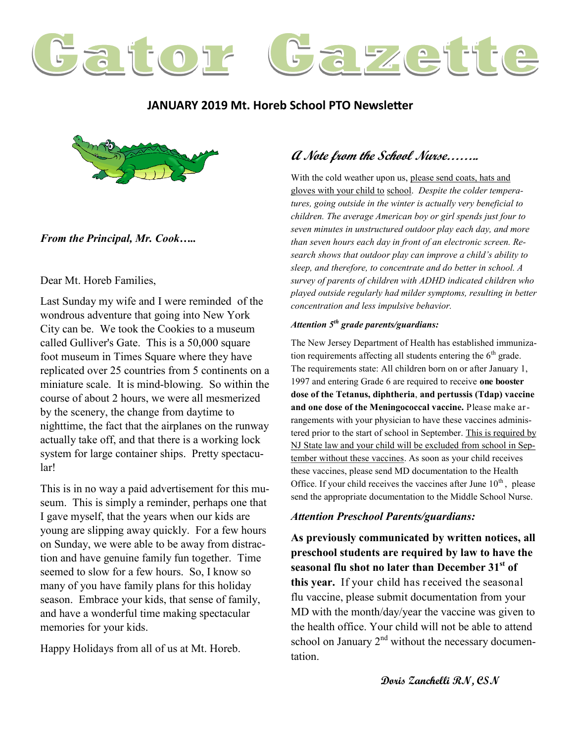

### **JANUARY 2019 Mt. Horeb School PTO Newsletter**



#### *From the Principal, Mr. Cook…..*

Dear Mt. Horeb Families,

Last Sunday my wife and I were reminded of the wondrous adventure that going into New York City can be. We took the Cookies to a museum called Gulliver's Gate. This is a 50,000 square foot museum in Times Square where they have replicated over 25 countries from 5 continents on a miniature scale. It is mind-blowing. So within the course of about 2 hours, we were all mesmerized by the scenery, the change from daytime to nighttime, the fact that the airplanes on the runway actually take off, and that there is a working lock system for large container ships. Pretty spectacular!

This is in no way a paid advertisement for this museum. This is simply a reminder, perhaps one that I gave myself, that the years when our kids are young are slipping away quickly. For a few hours on Sunday, we were able to be away from distraction and have genuine family fun together. Time seemed to slow for a few hours. So, I know so many of you have family plans for this holiday season. Embrace your kids, that sense of family, and have a wonderful time making spectacular memories for your kids.

Happy Holidays from all of us at Mt. Horeb.

# **A Note from the School Nurse……..**

With the cold weather upon us, please send coats, hats and gloves with your child to school. *Despite the colder temperatures, going outside in the winter is actually very beneficial to children. The average American boy or girl spends just four to seven minutes in unstructured outdoor play each day, and more than seven hours each day in front of an electronic screen. Research shows that outdoor play can improve a child's ability to sleep, and therefore, to concentrate and do better in school. A survey of parents of children with ADHD indicated children who played outside regularly had milder symptoms, resulting in better concentration and less impulsive behavior.*

#### *Attention 5th grade parents/guardians:*

The New Jersey Department of Health has established immunization requirements affecting all students entering the  $6<sup>th</sup>$  grade. The requirements state: All children born on or after January 1, 1997 and entering Grade 6 are required to receive **one booster dose of the Tetanus, diphtheria**, **and pertussis (Tdap) vaccine and one dose of the Meningococcal vaccine.** Please make arrangements with your physician to have these vaccines administered prior to the start of school in September. This is required by NJ State law and your child will be excluded from school in September without these vaccines. As soon as your child receives these vaccines, please send MD documentation to the Health Office. If your child receives the vaccines after June  $10<sup>th</sup>$ , please send the appropriate documentation to the Middle School Nurse.

#### *Attention Preschool Parents/guardians:*

**As previously communicated by written notices, all preschool students are required by law to have the seasonal flu shot no later than December 31st of this year.** If your child has received the seasonal flu vaccine, please submit documentation from your MD with the month/day/year the vaccine was given to the health office. Your child will not be able to attend school on January  $2<sup>nd</sup>$  without the necessary documentation.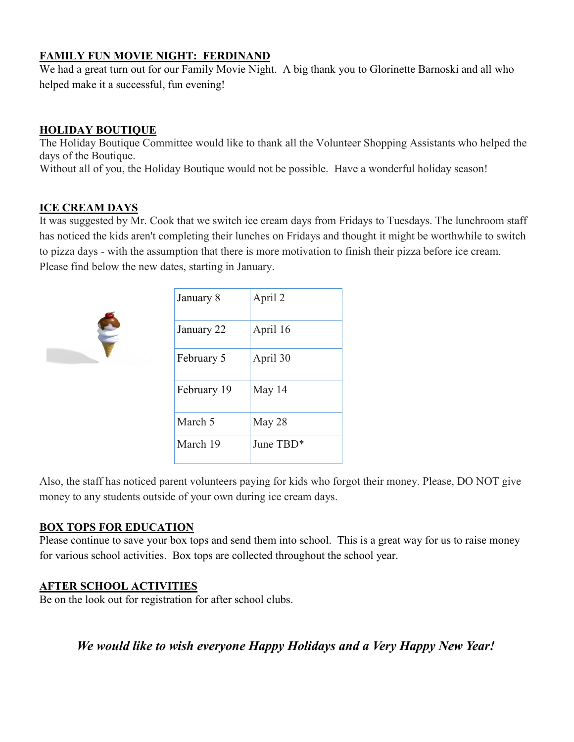## **FAMILY FUN MOVIE NIGHT: FERDINAND**

We had a great turn out for our Family Movie Night. A big thank you to Glorinette Barnoski and all who helped make it a successful, fun evening!

## **HOLIDAY BOUTIQUE**

The Holiday Boutique Committee would like to thank all the Volunteer Shopping Assistants who helped the days of the Boutique.

Without all of you, the Holiday Boutique would not be possible. Have a wonderful holiday season!

## **ICE CREAM DAYS**

It was suggested by Mr. Cook that we switch ice cream days from Fridays to Tuesdays. The lunchroom staff has noticed the kids aren't completing their lunches on Fridays and thought it might be worthwhile to switch to pizza days - with the assumption that there is more motivation to finish their pizza before ice cream. Please find below the new dates, starting in January.



| January 8   | April 2   |
|-------------|-----------|
| January 22  | April 16  |
| February 5  | April 30  |
| February 19 | May 14    |
| March 5     | May 28    |
| March 19    | June TBD* |

Also, the staff has noticed parent volunteers paying for kids who forgot their money. Please, DO NOT give money to any students outside of your own during ice cream days.

### **BOX TOPS FOR EDUCATION**

Please continue to save your box tops and send them into school. This is a great way for us to raise money for various school activities. Box tops are collected throughout the school year.

### **AFTER SCHOOL ACTIVITIES**

Be on the look out for registration for after school clubs.

*We would like to wish everyone Happy Holidays and a Very Happy New Year!*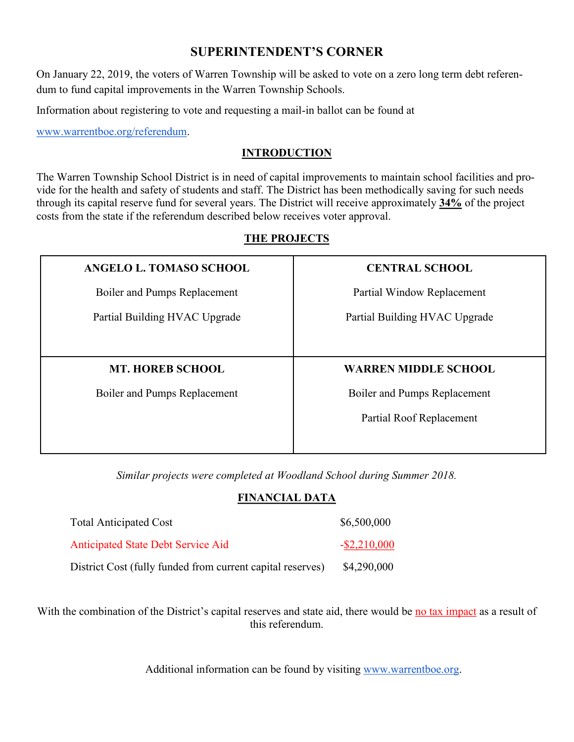# **SUPERINTENDENT'S CORNER**

On January 22, 2019, the voters of Warren Township will be asked to vote on a zero long term debt referendum to fund capital improvements in the Warren Township Schools.

Information about registering to vote and requesting a mail-in ballot can be found at

[www.warrentboe.org/referendum.](http://www.warrentboe.org/referendum)

### **INTRODUCTION**

The Warren Township School District is in need of capital improvements to maintain school facilities and provide for the health and safety of students and staff. The District has been methodically saving for such needs through its capital reserve fund for several years. The District will receive approximately **34%** of the project costs from the state if the referendum described below receives voter approval.

# **THE PROJECTS**

| ANGELO L. TOMASO SCHOOL       | <b>CENTRAL SCHOOL</b>         |
|-------------------------------|-------------------------------|
| Boiler and Pumps Replacement  | Partial Window Replacement    |
| Partial Building HVAC Upgrade | Partial Building HVAC Upgrade |
|                               |                               |
|                               |                               |
| <b>MT. HOREB SCHOOL</b>       | <b>WARREN MIDDLE SCHOOL</b>   |
| Boiler and Pumps Replacement  | Boiler and Pumps Replacement  |
|                               | Partial Roof Replacement      |

*Similar projects were completed at Woodland School during Summer 2018.*

### **FINANCIAL DATA**

| <b>Total Anticipated Cost</b>                              | \$6,500,000     |
|------------------------------------------------------------|-----------------|
| <b>Anticipated State Debt Service Aid</b>                  | $-$ \$2,210,000 |
| District Cost (fully funded from current capital reserves) | \$4,290,000     |

With the combination of the District's capital reserves and state aid, there would be no tax impact as a result of this referendum.

Additional information can be found by visiting [www.warrentboe.org.](http://www.warrentboe.org)